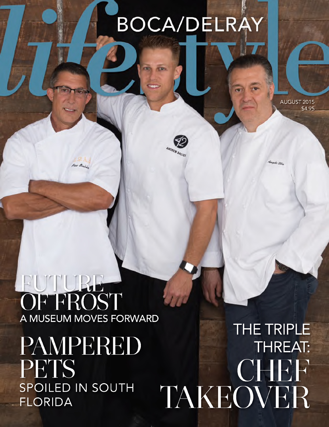### **BOCA/DELRAY**

**REST CRIME** 

**ANDREW BALIC** 

AUGUST 2015 \$4.95

## FUTURE-A MUSEUM MOVES FORWARD

 $R_{\alpha}$ 

PAMPERED PETS SPOILED IN SOUTH **FLORIDA** 

THE TRIPLE **THREAT:** TAKEOVER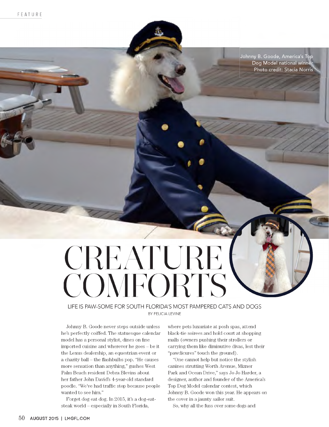Johnny B. Goode, America's Top Dog Model national winner Photo credit: Stacia Norris

# CREATURE **COMFORTS**

LIFE IS PAW-SOME FOR SOUTH FLORIDA'S MOST PAMPERED CATS AND DOGS BY FELICIA LEVINE

Johnny B. Goode never steps outside unless he's perfectly coiffed. The statuesque calendar model has a personal stylist, dines on fine imported cuisine and wherever he goes - be it the Lexus dealership, an equestrian event or a charity ball - the flashbulbs pop. "He causes more sensation than anything," gushes West Palm Beach resident Debra Blevins about her father John David's 4-year-old standard poodle. "We've had traffic stop because people wanted to see him."

Forget dog eat dog. In 2015, it's a dog-eatsteak world - especially in South Florida,

where pets luxuriate at posh spas, attend black-tie soirees and hold court at shopping malls (owners pushing their strollers or carrying them like diminutive divas, lest their "pawdicures" touch the ground).

"One cannot help but notice the stylish canines strutting Worth Avenue, Mizner Park and Ocean Drive," says Jo Jo Harder, a designer, author and founder of the America's Top Dog Model calendar contest, which Johnny B. Goode won this year. He appears on the cover in a jaunty sailor suit.

So, why all the fuss over some dogs and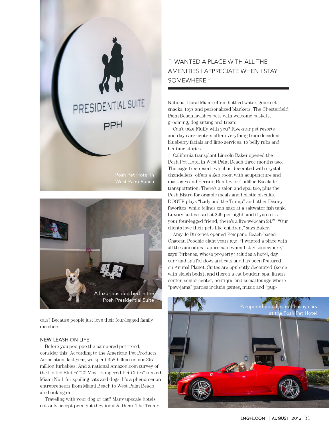



cats? Because people just love their four-legged family members.

#### NEW LEASH ON LIFE

Before you poo-poo the pampered pet trend, consider this: According to the American Pet Products Association, last year, we spent \$58 billion on our 397 million furbabies. And a national Amazon.com survey of the United States' "20 Most Pampered Pet Cities" ranked Miami No.1 for spoiling cats and dogs. It's a phenomenon entrepreneurs from Miami Beach to West Palm Beach are banking on.

Traveling with your dog or cat? Many upscale hotels not only accept pets, but they indulge them. The Trump

### "I WANTED A PLACE WITH ALL THE AMENITIES I APPRECIATE WHEN I STAY SOMEWHERE."

National Doral Miami offers bottled water, gourmet snacks, toys and personalized blankets. The Chesterfield Palm Beach lavishes pets with welcome baskets, grooming, dog-sitting and treats.

Can't take Fluffy with you? Five-star pet resorts and day care centers offer everything from decadent blueberry facials and limo services, to belly rubs and bedtime stories.

California transplant Lincoln Baker opened the Posh Pet Hotel in West Palm Beach three months ago. The cage-free resort, which is decorated with crystal chandeliers, offers a Zen room with acupuncture and massages and Ferrari, Bentley or Cadillac Escalade transportation. There's a salon and spa, too, plus the Posh Bistro for organic meals and holistic biscuits. DOGTV plays "Lady and the Tramp" and other Disney favorites, while felines can gaze at a saltwater fish tank. Luxury suites start at \$49 per night, and if you miss your four-legged friend, there's a live webcam 24/7. "Our clients love their pets like children," says Baker.

Amy Jo Birkenes opened Pompano Beach-based Chateau Poochie eight years ago. "I wanted a place with all the amenities I appreciate when I stay somewhere," says Birkenes, whose property includes a hotel, day care and spa for dogs and cats and has been featured on Animal Planet. Suites are opulently decorated (some with sleigh beds), and there's a cat boudoir, spa, fitness center, senior center, boutique and social lounge where "paw-jama" parties include games, music and "pup-